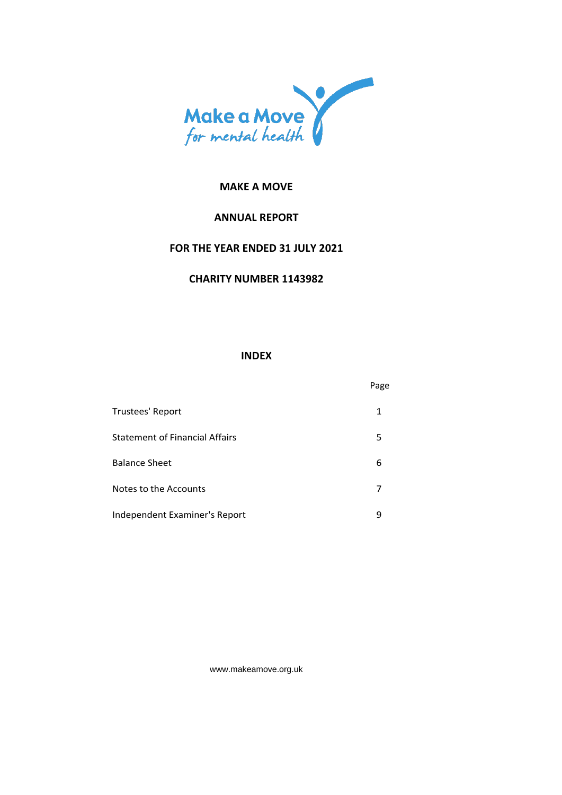

# **ANNUAL REPORT**

# **FOR THE YEAR ENDED 31 JULY 2021**

### **CHARITY NUMBER 1143982**

### **INDEX**

|                                       | Page |
|---------------------------------------|------|
| Trustees' Report                      | 1    |
| <b>Statement of Financial Affairs</b> | 5    |
| <b>Balance Sheet</b>                  | 6    |
| Notes to the Accounts                 |      |
| Independent Examiner's Report         | 9    |

[www.makeamove.org.uk](http://www.makeamove.org.uk/)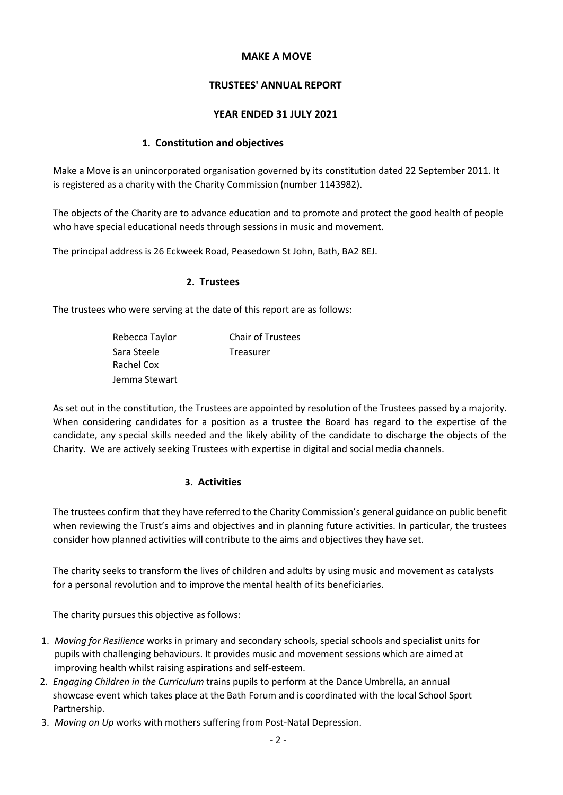# **TRUSTEES' ANNUAL REPORT**

### **YEAR ENDED 31 JULY 2021**

### **1. Constitution and objectives**

Make a Move is an unincorporated organisation governed by its constitution dated 22 September 2011. It is registered as a charity with the Charity Commission (number 1143982).

The objects of the Charity are to advance education and to promote and protect the good health of people who have special educational needs through sessions in music and movement.

The principal address is 26 Eckweek Road, Peasedown St John, Bath, BA2 8EJ.

#### **2. Trustees**

The trustees who were serving at the date of this report are as follows:

| Rebecca Taylor | <b>Chair of Trustees</b> |
|----------------|--------------------------|
| Sara Steele    | Treasurer                |
| Rachel Cox     |                          |
| Jemma Stewart  |                          |

As set out in the constitution, the Trustees are appointed by resolution of the Trustees passed by a majority. When considering candidates for a position as a trustee the Board has regard to the expertise of the candidate, any special skills needed and the likely ability of the candidate to discharge the objects of the Charity. We are actively seeking Trustees with expertise in digital and social media channels.

# **3. Activities**

The trustees confirm that they have referred to the Charity Commission's general guidance on public benefit when reviewing the Trust's aims and objectives and in planning future activities. In particular, the trustees consider how planned activities will contribute to the aims and objectives they have set.

The charity seeks to transform the lives of children and adults by using music and movement as catalysts for a personal revolution and to improve the mental health of its beneficiaries.

The charity pursues this objective as follows:

- 1. *Moving for Resilience* works in primary and secondary schools, special schools and specialist units for pupils with challenging behaviours. It provides music and movement sessions which are aimed at improving health whilst raising aspirations and self-esteem.
- 2. *Engaging Children in the Curriculum* trains pupils to perform at the Dance Umbrella, an annual showcase event which takes place at the Bath Forum and is coordinated with the local School Sport Partnership.
- 3. *Moving on Up* works with mothers suffering from Post-Natal Depression.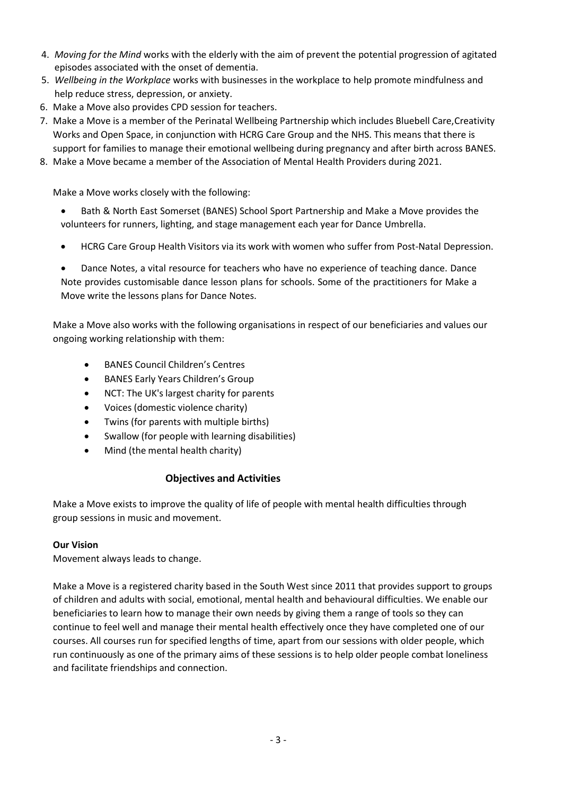- 4. *Moving for the Mind* works with the elderly with the aim of prevent the potential progression of agitated episodes associated with the onset of dementia.
- 5. *Wellbeing in the Workplace* works with businesses in the workplace to help promote mindfulness and help reduce stress, depression, or anxiety.
- 6. Make a Move also provides CPD session for teachers.
- 7. Make a Move is a member of the Perinatal Wellbeing Partnership which includes Bluebell Care,Creativity Works and Open Space, in conjunction with HCRG Care Group and the NHS. This means that there is support for families to manage their emotional wellbeing during pregnancy and after birth across BANES.
- 8. Make a Move became a member of the Association of Mental Health Providers during 2021.

Make a Move works closely with the following:

- Bath & North East Somerset (BANES) School Sport Partnership and Make a Move provides the volunteers for runners, lighting, and stage management each year for Dance Umbrella.
- HCRG Care Group Health Visitors via its work with women who suffer from Post-Natal Depression.

• Dance Notes, a vital resource for teachers who have no experience of teaching dance. Dance Note provides customisable dance lesson plans for schools. Some of the practitioners for Make a Move write the lessons plans for Dance Notes.

Make a Move also works with the following organisations in respect of our beneficiaries and values our ongoing working relationship with them:

- BANES Council Children's Centres
- BANES Early Years Children's Group
- NCT: The UK's largest charity for parents
- Voices (domestic violence charity)
- Twins (for parents with multiple births)
- Swallow (for people with learning disabilities)
- Mind (the mental health charity)

# **Objectives and Activities**

Make a Move exists to improve the quality of life of people with mental health difficulties through group sessions in music and movement.

# **Our Vision**

Movement always leads to change.

Make a Move is a registered charity based in the South West since 2011 that provides support to groups of children and adults with social, emotional, mental health and behavioural difficulties. We enable our beneficiaries to learn how to manage their own needs by giving them a range of tools so they can continue to feel well and manage their mental health effectively once they have completed one of our courses. All courses run for specified lengths of time, apart from our sessions with older people, which run continuously as one of the primary aims of these sessions is to help older people combat loneliness and facilitate friendships and connection.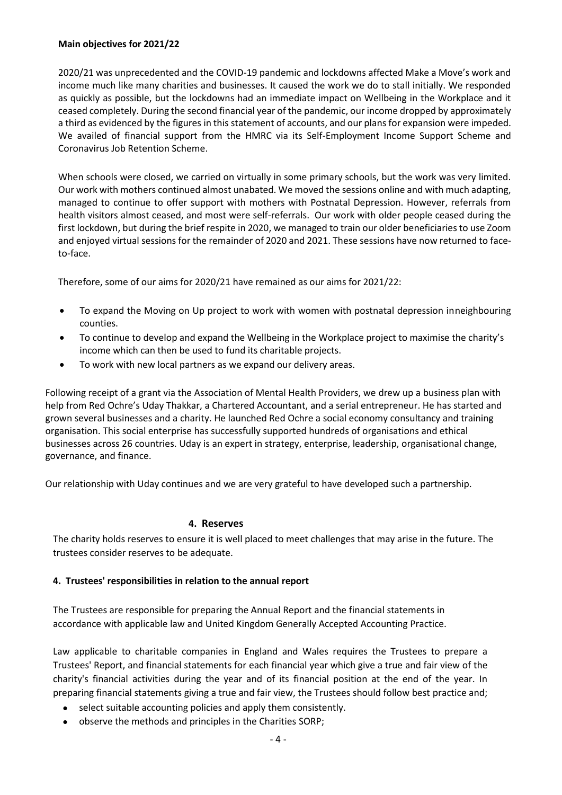### **Main objectives for 2021/22**

2020/21 was unprecedented and the COVID-19 pandemic and lockdowns affected Make a Move's work and income much like many charities and businesses. It caused the work we do to stall initially. We responded as quickly as possible, but the lockdowns had an immediate impact on Wellbeing in the Workplace and it ceased completely. During the second financial year of the pandemic, our income dropped by approximately a third as evidenced by the figures in this statement of accounts, and our plans for expansion were impeded. We availed of financial support from the HMRC via its Self-Employment Income Support Scheme and Coronavirus Job Retention Scheme.

When schools were closed, we carried on virtually in some primary schools, but the work was very limited. Our work with mothers continued almost unabated. We moved the sessions online and with much adapting, managed to continue to offer support with mothers with Postnatal Depression. However, referrals from health visitors almost ceased, and most were self-referrals. Our work with older people ceased during the first lockdown, but during the brief respite in 2020, we managed to train our older beneficiaries to use Zoom and enjoyed virtual sessions for the remainder of 2020 and 2021. These sessions have now returned to faceto-face.

Therefore, some of our aims for 2020/21 have remained as our aims for 2021/22:

- To expand the Moving on Up project to work with women with postnatal depression in neighbouring counties.
- To continue to develop and expand the Wellbeing in the Workplace project to maximise the charity's income which can then be used to fund its charitable projects.
- To work with new local partners as we expand our delivery areas.

Following receipt of a grant via the Association of Mental Health Providers, we drew up a business plan with help from Red Ochre's Uday Thakkar, a Chartered Accountant, and a serial entrepreneur. He has started and grown several businesses and a charity. He launched Red Ochre a social economy consultancy and training organisation. This social enterprise has successfully supported hundreds of organisations and ethical businesses across 26 countries. Uday is an expert in strategy, enterprise, leadership, organisational change, governance, and finance.

Our relationship with Uday continues and we are very grateful to have developed such a partnership.

#### **4. Reserves**

The charity holds reserves to ensure it is well placed to meet challenges that may arise in the future. The trustees consider reserves to be adequate.

#### **4. Trustees' responsibilities in relation to the annual report**

The Trustees are responsible for preparing the Annual Report and the financial statements in accordance with applicable law and United Kingdom Generally Accepted Accounting Practice.

Law applicable to charitable companies in England and Wales requires the Trustees to prepare a Trustees' Report, and financial statements for each financial year which give a true and fair view of the charity's financial activities during the year and of its financial position at the end of the year. In preparing financial statements giving a true and fair view, the Trustees should follow best practice and;

- select suitable accounting policies and apply them consistently.
- observe the methods and principles in the Charities SORP;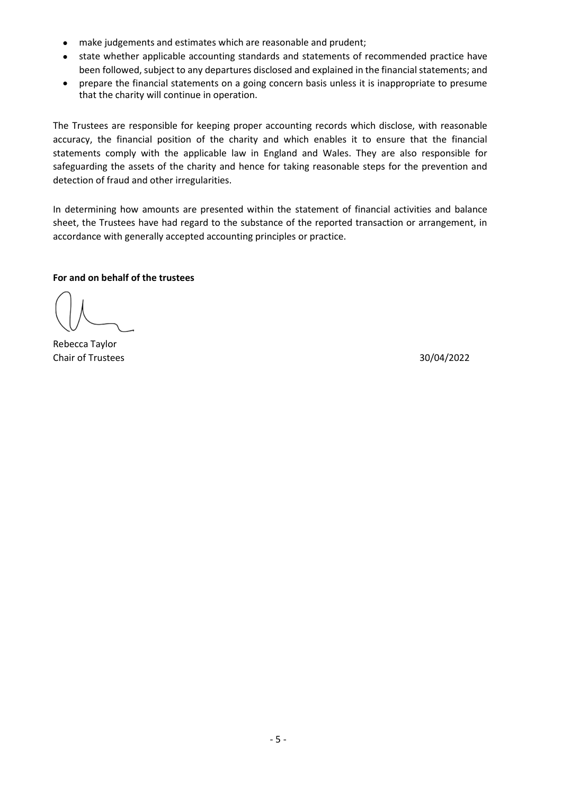- make judgements and estimates which are reasonable and prudent;
- state whether applicable accounting standards and statements of recommended practice have been followed, subject to any departures disclosed and explained in the financial statements; and
- prepare the financial statements on a going concern basis unless it is inappropriate to presume that the charity will continue in operation.

The Trustees are responsible for keeping proper accounting records which disclose, with reasonable accuracy, the financial position of the charity and which enables it to ensure that the financial statements comply with the applicable law in England and Wales. They are also responsible for safeguarding the assets of the charity and hence for taking reasonable steps for the prevention and detection of fraud and other irregularities.

In determining how amounts are presented within the statement of financial activities and balance sheet, the Trustees have had regard to the substance of the reported transaction or arrangement, in accordance with generally accepted accounting principles or practice.

# **For and on behalf of the trustees**

Rebecca Taylor Chair of Trustees 30/04/2022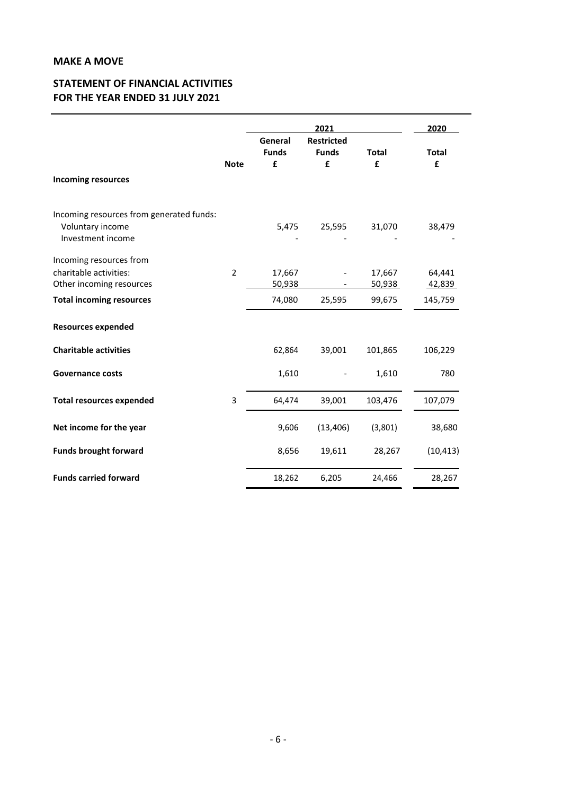# **STATEMENT OF FINANCIAL ACTIVITIES FOR THE YEAR ENDED 31 JULY 2021**

|                                          |                | 2021                         |                                        |                   | 2020              |  |
|------------------------------------------|----------------|------------------------------|----------------------------------------|-------------------|-------------------|--|
|                                          | <b>Note</b>    | General<br><b>Funds</b><br>£ | <b>Restricted</b><br><b>Funds</b><br>£ | <b>Total</b><br>£ | <b>Total</b><br>£ |  |
| <b>Incoming resources</b>                |                |                              |                                        |                   |                   |  |
| Incoming resources from generated funds: |                |                              |                                        |                   |                   |  |
| Voluntary income<br>Investment income    |                | 5,475                        | 25,595                                 | 31,070            | 38,479            |  |
| Incoming resources from                  |                |                              |                                        |                   |                   |  |
| charitable activities:                   | $\overline{2}$ | 17,667                       |                                        | 17,667            | 64,441            |  |
| Other incoming resources                 |                | 50,938                       |                                        | 50,938            | 42,839            |  |
| <b>Total incoming resources</b>          |                | 74,080                       | 25,595                                 | 99,675            | 145,759           |  |
| <b>Resources expended</b>                |                |                              |                                        |                   |                   |  |
| <b>Charitable activities</b>             |                | 62,864                       | 39,001                                 | 101,865           | 106,229           |  |
| <b>Governance costs</b>                  |                | 1,610                        |                                        | 1,610             | 780               |  |
| <b>Total resources expended</b>          | 3              | 64,474                       | 39,001                                 | 103,476           | 107,079           |  |
| Net income for the year                  |                | 9,606                        | (13, 406)                              | (3,801)           | 38,680            |  |
| <b>Funds brought forward</b>             |                | 8,656                        | 19,611                                 | 28,267            | (10, 413)         |  |
| <b>Funds carried forward</b>             |                | 18,262                       | 6,205                                  | 24,466            | 28,267            |  |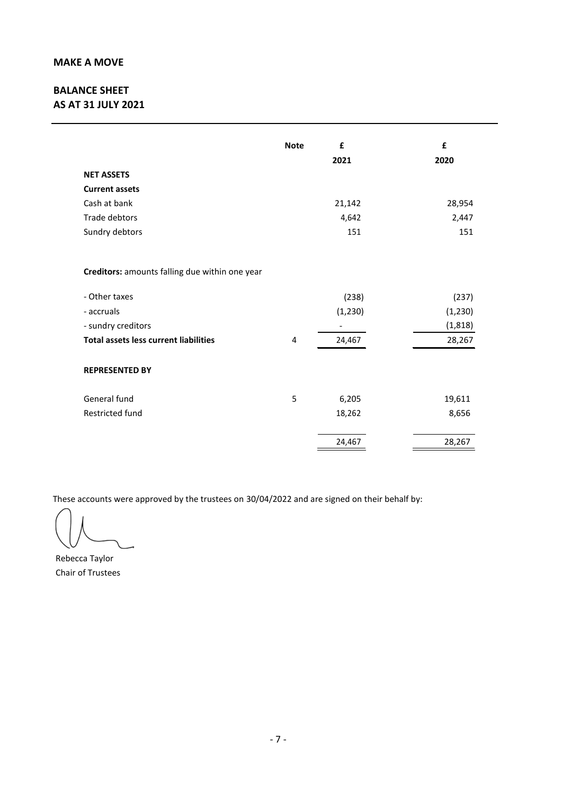# **BALANCE SHEET AS AT 31 JULY 2021**

|                                                | <b>Note</b> | £<br>2021 | £<br>2020 |
|------------------------------------------------|-------------|-----------|-----------|
| <b>NET ASSETS</b>                              |             |           |           |
| <b>Current assets</b>                          |             |           |           |
| Cash at bank                                   |             | 21,142    | 28,954    |
| Trade debtors                                  |             | 4,642     | 2,447     |
| Sundry debtors                                 |             | 151       | 151       |
| Creditors: amounts falling due within one year |             |           |           |
| - Other taxes                                  |             | (238)     | (237)     |
| - accruals                                     |             | (1, 230)  | (1, 230)  |
| - sundry creditors                             |             |           | (1, 818)  |
| <b>Total assets less current liabilities</b>   | 4           | 24,467    | 28,267    |
| <b>REPRESENTED BY</b>                          |             |           |           |
| General fund                                   | 5           | 6,205     | 19,611    |
| Restricted fund                                |             | 18,262    | 8,656     |
|                                                |             | 24,467    | 28,267    |

These accounts were approved by the trustees on 30/04/2022 and are signed on their behalf by:

Rebecca Taylor Chair of Trustees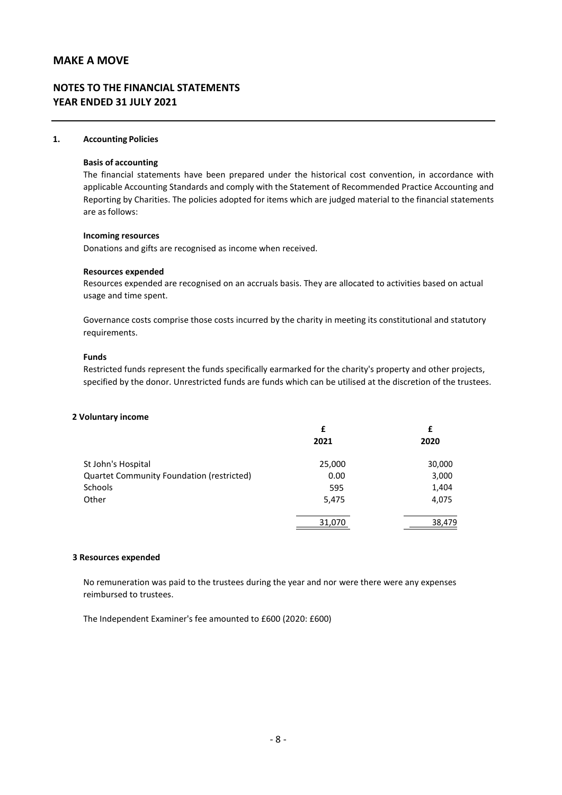# **NOTES TO THE FINANCIAL STATEMENTS YEAR ENDED 31 JULY 2021**

#### **1. Accounting Policies**

#### **Basis of accounting**

The financial statements have been prepared under the historical cost convention, in accordance with applicable Accounting Standards and comply with the Statement of Recommended Practice Accounting and Reporting by Charities. The policies adopted for items which are judged material to the financial statements are as follows:

#### **Incoming resources**

Donations and gifts are recognised as income when received.

#### **Resources expended**

Resources expended are recognised on an accruals basis. They are allocated to activities based on actual usage and time spent.

Governance costs comprise those costs incurred by the charity in meeting its constitutional and statutory requirements.

#### **Funds**

Restricted funds represent the funds specifically earmarked for the charity's property and other projects, specified by the donor. Unrestricted funds are funds which can be utilised at the discretion of the trustees.

#### **2 Voluntary income**

|                                           | £      | £      |  |
|-------------------------------------------|--------|--------|--|
|                                           | 2021   | 2020   |  |
| St John's Hospital                        | 25,000 | 30,000 |  |
| Quartet Community Foundation (restricted) | 0.00   | 3,000  |  |
| Schools                                   | 595    | 1,404  |  |
| Other                                     | 5,475  | 4,075  |  |
|                                           | 31,070 | 38,479 |  |

#### **3 Resources expended**

No remuneration was paid to the trustees during the year and nor were there were any expenses reimbursed to trustees.

The Independent Examiner's fee amounted to £600 (2020: £600)